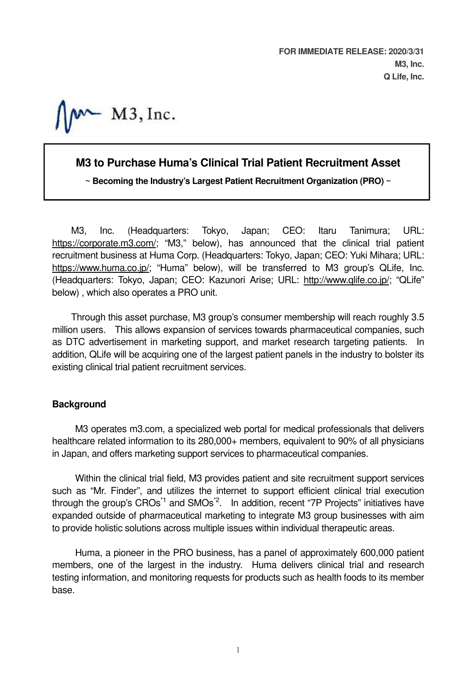**FOR IMMEDIATE RELEASE: 2020/3/31 M3, Inc. Q Life, Inc.**

 $M^*$  M3, Inc.

# **M3 to Purchase Huma's Clinical Trial Patient Recruitment Asset**

**~ Becoming the Industry's Largest Patient Recruitment Organization (PRO) ~**

M3, Inc. (Headquarters: Tokyo, Japan; CEO: Itaru Tanimura; URL: https://corporate.m3.com/; "M3," below), has announced that the clinical trial patient recruitment business at Huma Corp. (Headquarters: Tokyo, Japan; CEO: Yuki Mihara; URL: https://www.huma.co.jp/; "Huma" below), will be transferred to M3 group's QLife, Inc. (Headquarters: Tokyo, Japan; CEO: Kazunori Arise; URL: http://www.qlife.co.jp/; "QLife" below) , which also operates a PRO unit.

Through this asset purchase, M3 group's consumer membership will reach roughly 3.5 million users. This allows expansion of services towards pharmaceutical companies, such as DTC advertisement in marketing support, and market research targeting patients. In addition, QLife will be acquiring one of the largest patient panels in the industry to bolster its existing clinical trial patient recruitment services.

## **Background**

M3 operates m3.com, a specialized web portal for medical professionals that delivers healthcare related information to its 280,000+ members, equivalent to 90% of all physicians in Japan, and offers marketing support services to pharmaceutical companies.

Within the clinical trial field, M3 provides patient and site recruitment support services such as "Mr. Finder", and utilizes the internet to support efficient clinical trial execution through the group's  $CROs<sup>1</sup>$  and  $SMOs<sup>2</sup>$ . In addition, recent "7P Projects" initiatives have expanded outside of pharmaceutical marketing to integrate M3 group businesses with aim to provide holistic solutions across multiple issues within individual therapeutic areas.

Huma, a pioneer in the PRO business, has a panel of approximately 600,000 patient members, one of the largest in the industry. Huma delivers clinical trial and research testing information, and monitoring requests for products such as health foods to its member base.